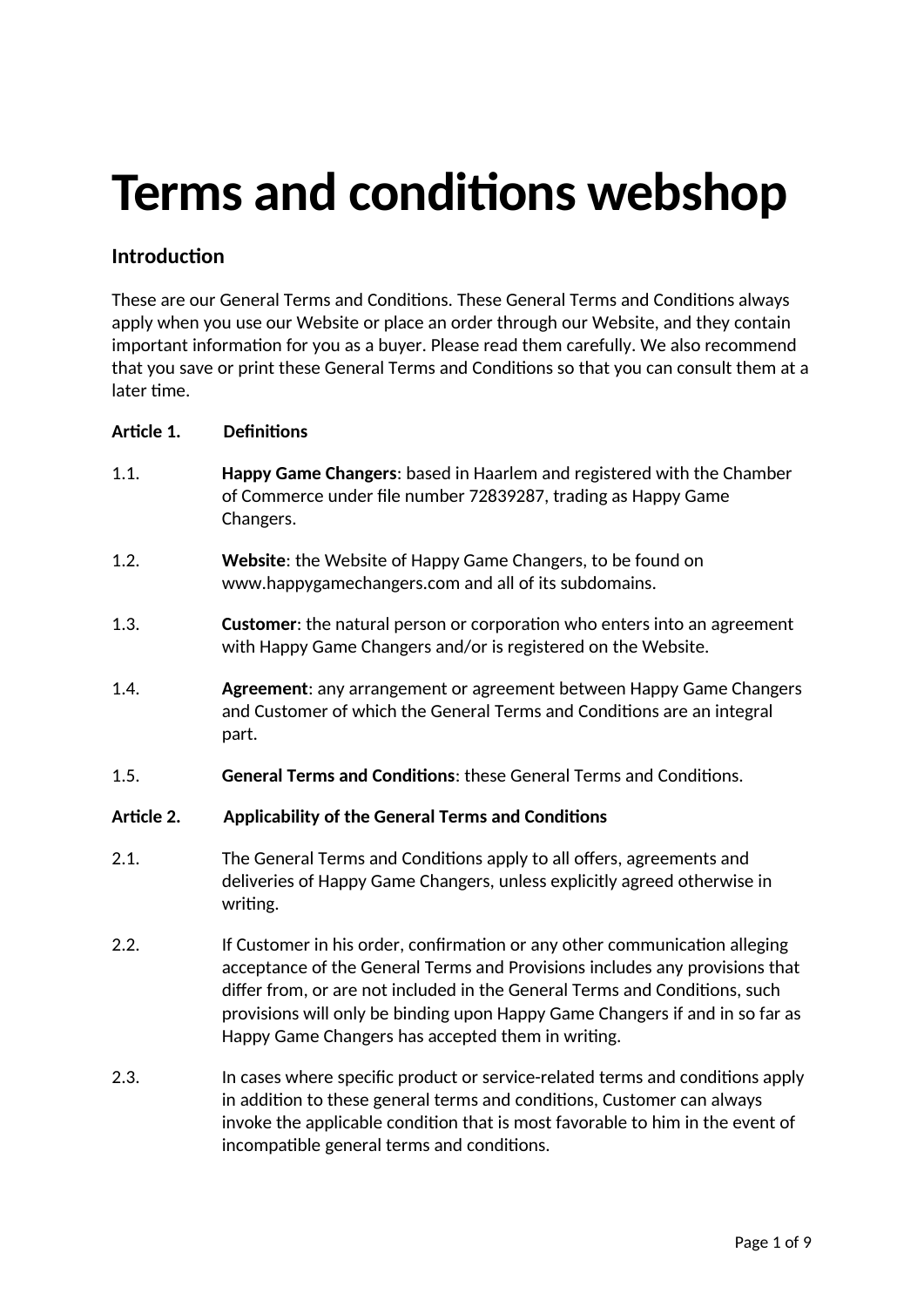# **Terms and conditions webshop**

# **Introduction**

These are our General Terms and Conditions. These General Terms and Conditions always apply when you use our Website or place an order through our Website, and they contain important information for you as a buyer. Please read them carefully. We also recommend that you save or print these General Terms and Conditions so that you can consult them at a later time.

# **Article 1. Definitions**

- 1.1. **Happy Game Changers**: based in Haarlem and registered with the Chamber of Commerce under file number 72839287, trading as Happy Game Changers.
- 1.2. **Website**: the Website of Happy Game Changers, to be found on www.happygamechangers.com and all of its subdomains.
- 1.3. **Customer**: the natural person or corporation who enters into an agreement with Happy Game Changers and/or is registered on the Website.
- 1.4. **Agreement**: any arrangement or agreement between Happy Game Changers and Customer of which the General Terms and Conditions are an integral part.
- 1.5. **General Terms and Conditions**: these General Terms and Conditions.

#### **Article 2. Applicability of the General Terms and Conditions**

- 2.1. The General Terms and Conditions apply to all offers, agreements and deliveries of Happy Game Changers, unless explicitly agreed otherwise in writing.
- 2.2. If Customer in his order, confirmation or any other communication alleging acceptance of the General Terms and Provisions includes any provisions that differ from, or are not included in the General Terms and Conditions, such provisions will only be binding upon Happy Game Changers if and in so far as Happy Game Changers has accepted them in writing.
- 2.3. In cases where specific product or service-related terms and conditions apply in addition to these general terms and conditions, Customer can always invoke the applicable condition that is most favorable to him in the event of incompatible general terms and conditions.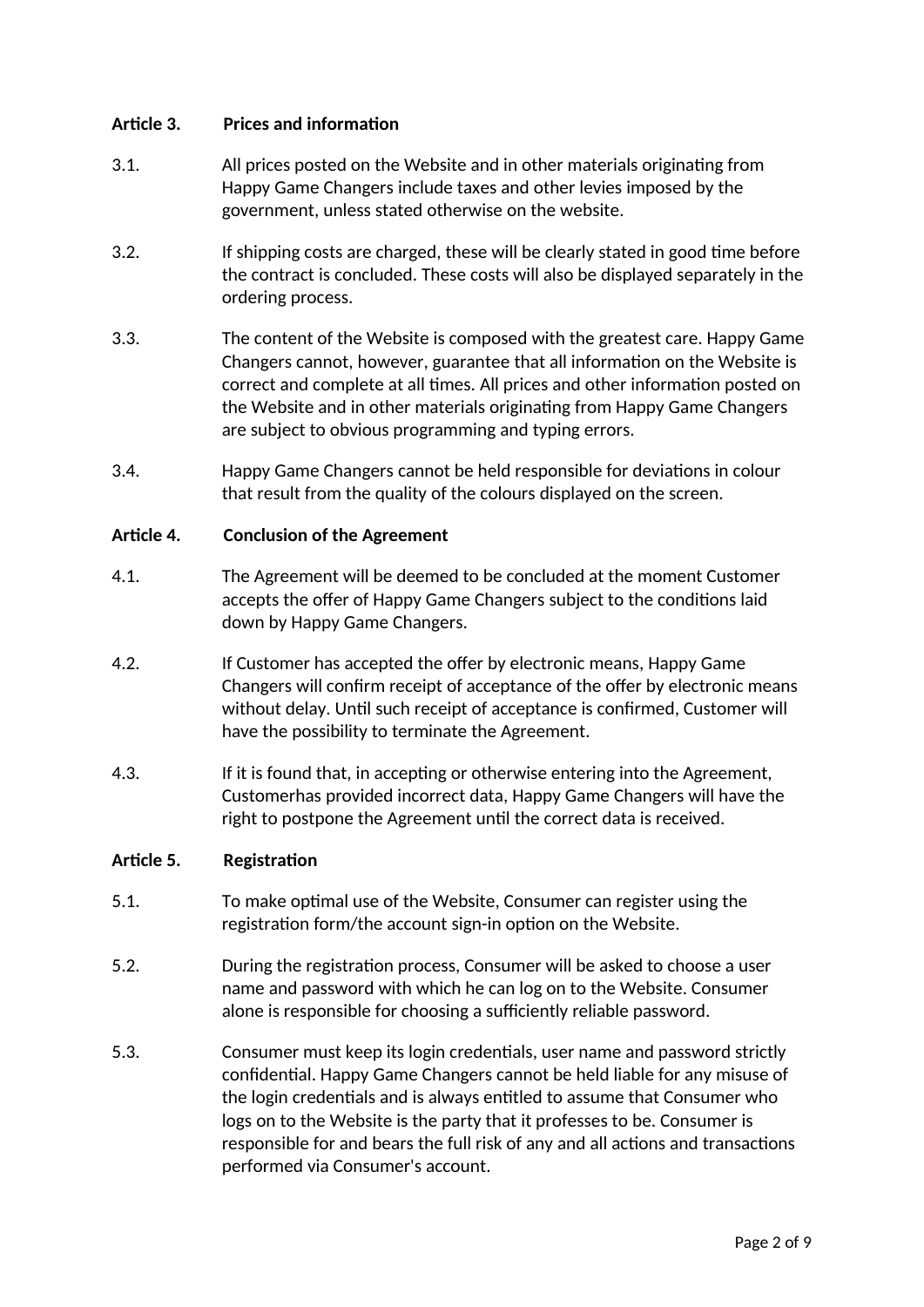# **Article 3. Prices and information**

- 3.1. All prices posted on the Website and in other materials originating from Happy Game Changers include taxes and other levies imposed by the government, unless stated otherwise on the website.
- 3.2. If shipping costs are charged, these will be clearly stated in good time before the contract is concluded. These costs will also be displayed separately in the ordering process.
- 3.3. The content of the Website is composed with the greatest care. Happy Game Changers cannot, however, guarantee that all information on the Website is correct and complete at all times. All prices and other information posted on the Website and in other materials originating from Happy Game Changers are subject to obvious programming and typing errors.
- 3.4. Happy Game Changers cannot be held responsible for deviations in colour that result from the quality of the colours displayed on the screen.

#### **Article 4. Conclusion of the Agreement**

- 4.1. The Agreement will be deemed to be concluded at the moment Customer accepts the offer of Happy Game Changers subject to the conditions laid down by Happy Game Changers.
- 4.2. If Customer has accepted the offer by electronic means, Happy Game Changers will confirm receipt of acceptance of the offer by electronic means without delay. Until such receipt of acceptance is confirmed, Customer will have the possibility to terminate the Agreement.
- 4.3. If it is found that, in accepting or otherwise entering into the Agreement, Customerhas provided incorrect data, Happy Game Changers will have the right to postpone the Agreement until the correct data is received.

#### **Article 5. Registration**

- 5.1. To make optimal use of the Website, Consumer can register using the registration form/the account sign-in option on the Website.
- 5.2. During the registration process, Consumer will be asked to choose a user name and password with which he can log on to the Website. Consumer alone is responsible for choosing a sufficiently reliable password.
- 5.3. Consumer must keep its login credentials, user name and password strictly confidential. Happy Game Changers cannot be held liable for any misuse of the login credentials and is always entitled to assume that Consumer who logs on to the Website is the party that it professes to be. Consumer is responsible for and bears the full risk of any and all actions and transactions performed via Consumer's account.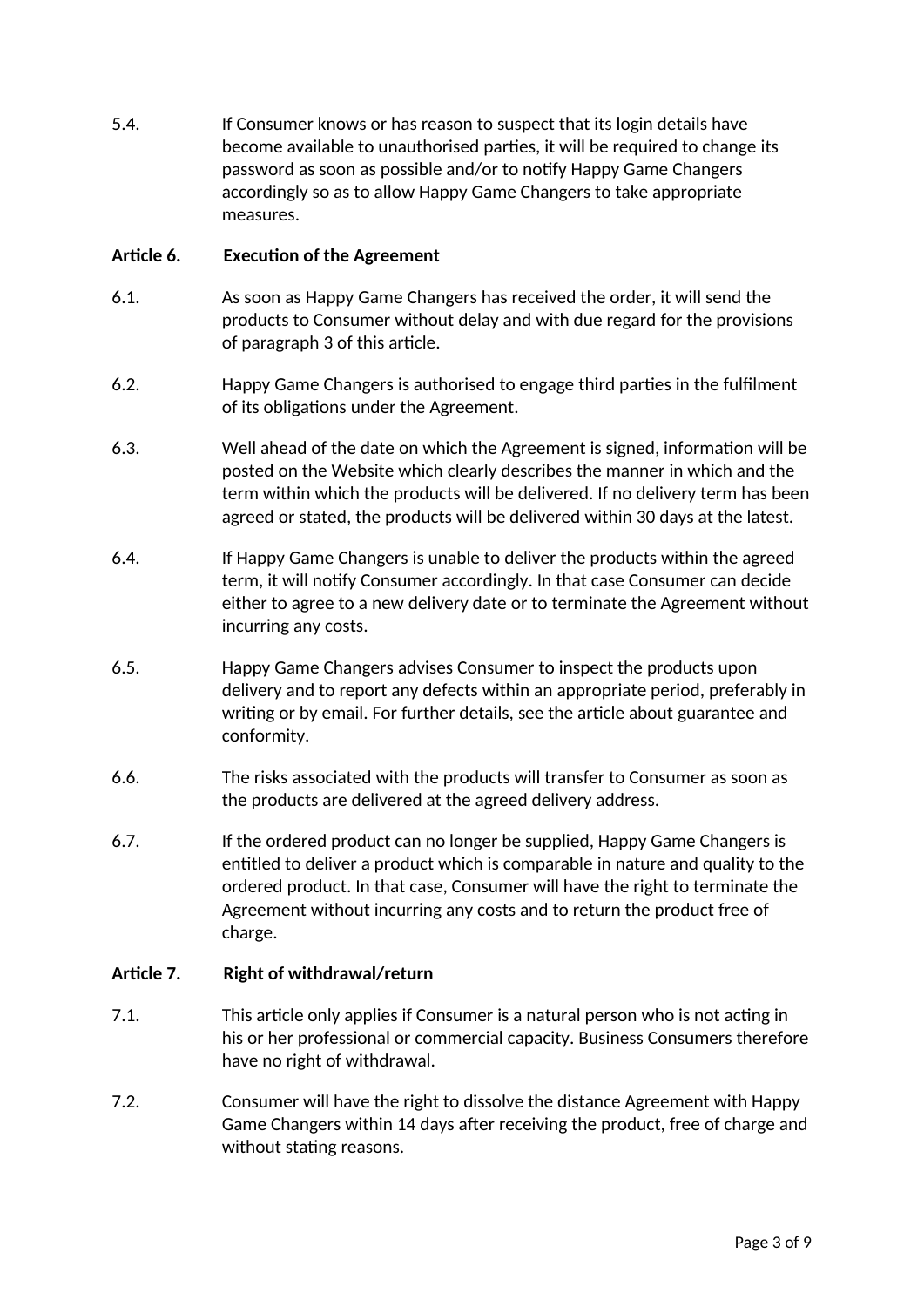5.4. If Consumer knows or has reason to suspect that its login details have become available to unauthorised parties, it will be required to change its password as soon as possible and/or to notify Happy Game Changers accordingly so as to allow Happy Game Changers to take appropriate measures.

# **Article 6. Execution of the Agreement**

- 6.1. As soon as Happy Game Changers has received the order, it will send the products to Consumer without delay and with due regard for the provisions of paragraph 3 of this article.
- 6.2. Happy Game Changers is authorised to engage third parties in the fulfilment of its obligations under the Agreement.
- 6.3. Well ahead of the date on which the Agreement is signed, information will be posted on the Website which clearly describes the manner in which and the term within which the products will be delivered. If no delivery term has been agreed or stated, the products will be delivered within 30 days at the latest.
- 6.4. If Happy Game Changers is unable to deliver the products within the agreed term, it will notify Consumer accordingly. In that case Consumer can decide either to agree to a new delivery date or to terminate the Agreement without incurring any costs.
- 6.5. Happy Game Changers advises Consumer to inspect the products upon delivery and to report any defects within an appropriate period, preferably in writing or by email. For further details, see the article about guarantee and conformity.
- 6.6. The risks associated with the products will transfer to Consumer as soon as the products are delivered at the agreed delivery address.
- 6.7. If the ordered product can no longer be supplied, Happy Game Changers is entitled to deliver a product which is comparable in nature and quality to the ordered product. In that case, Consumer will have the right to terminate the Agreement without incurring any costs and to return the product free of charge.

#### **Article 7. Right of withdrawal/return**

- 7.1. This article only applies if Consumer is a natural person who is not acting in his or her professional or commercial capacity. Business Consumers therefore have no right of withdrawal.
- 7.2. Consumer will have the right to dissolve the distance Agreement with Happy Game Changers within 14 days after receiving the product, free of charge and without stating reasons.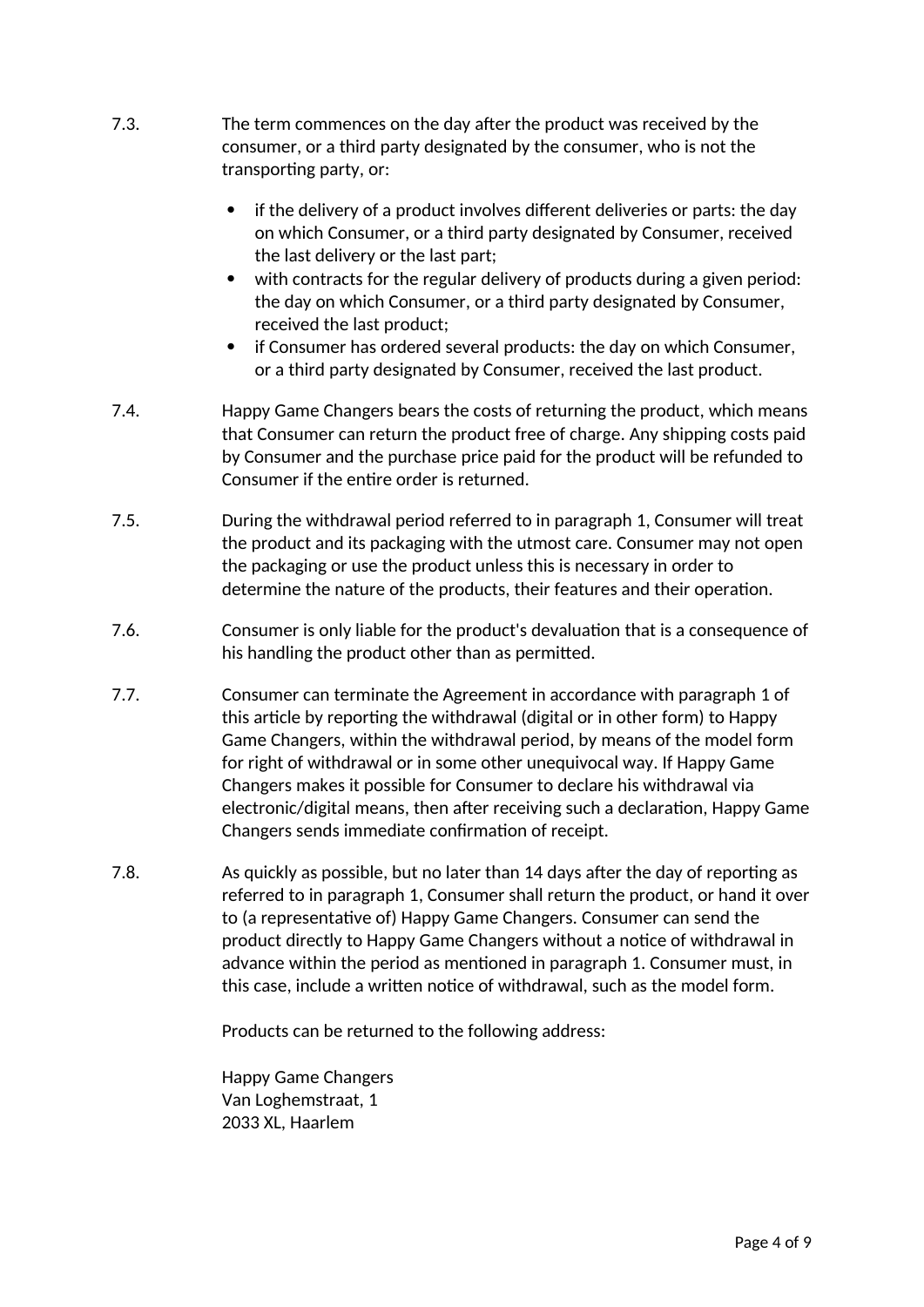- 7.3. The term commences on the day after the product was received by the consumer, or a third party designated by the consumer, who is not the transporting party, or:
	- if the delivery of a product involves different deliveries or parts: the day on which Consumer, or a third party designated by Consumer, received the last delivery or the last part;
	- with contracts for the regular delivery of products during a given period: the day on which Consumer, or a third party designated by Consumer, received the last product;
	- if Consumer has ordered several products: the day on which Consumer, or a third party designated by Consumer, received the last product.
- 7.4. Happy Game Changers bears the costs of returning the product, which means that Consumer can return the product free of charge. Any shipping costs paid by Consumer and the purchase price paid for the product will be refunded to Consumer if the entire order is returned.
- 7.5. During the withdrawal period referred to in paragraph 1, Consumer will treat the product and its packaging with the utmost care. Consumer may not open the packaging or use the product unless this is necessary in order to determine the nature of the products, their features and their operation.
- 7.6. Consumer is only liable for the product's devaluation that is a consequence of his handling the product other than as permitted.
- 7.7. Consumer can terminate the Agreement in accordance with paragraph 1 of this article by reporting the withdrawal (digital or in other form) to Happy Game Changers, within the withdrawal period, by means of the model form for right of withdrawal or in some other unequivocal way. If Happy Game Changers makes it possible for Consumer to declare his withdrawal via electronic/digital means, then after receiving such a declaration, Happy Game Changers sends immediate confirmation of receipt.
- 7.8. As quickly as possible, but no later than 14 days after the day of reporting as referred to in paragraph 1, Consumer shall return the product, or hand it over to (a representative of) Happy Game Changers. Consumer can send the product directly to Happy Game Changers without a notice of withdrawal in advance within the period as mentioned in paragraph 1. Consumer must, in this case, include a written notice of withdrawal, such as the model form.

Products can be returned to the following address:

Happy Game Changers Van Loghemstraat, 1 2033 XL, Haarlem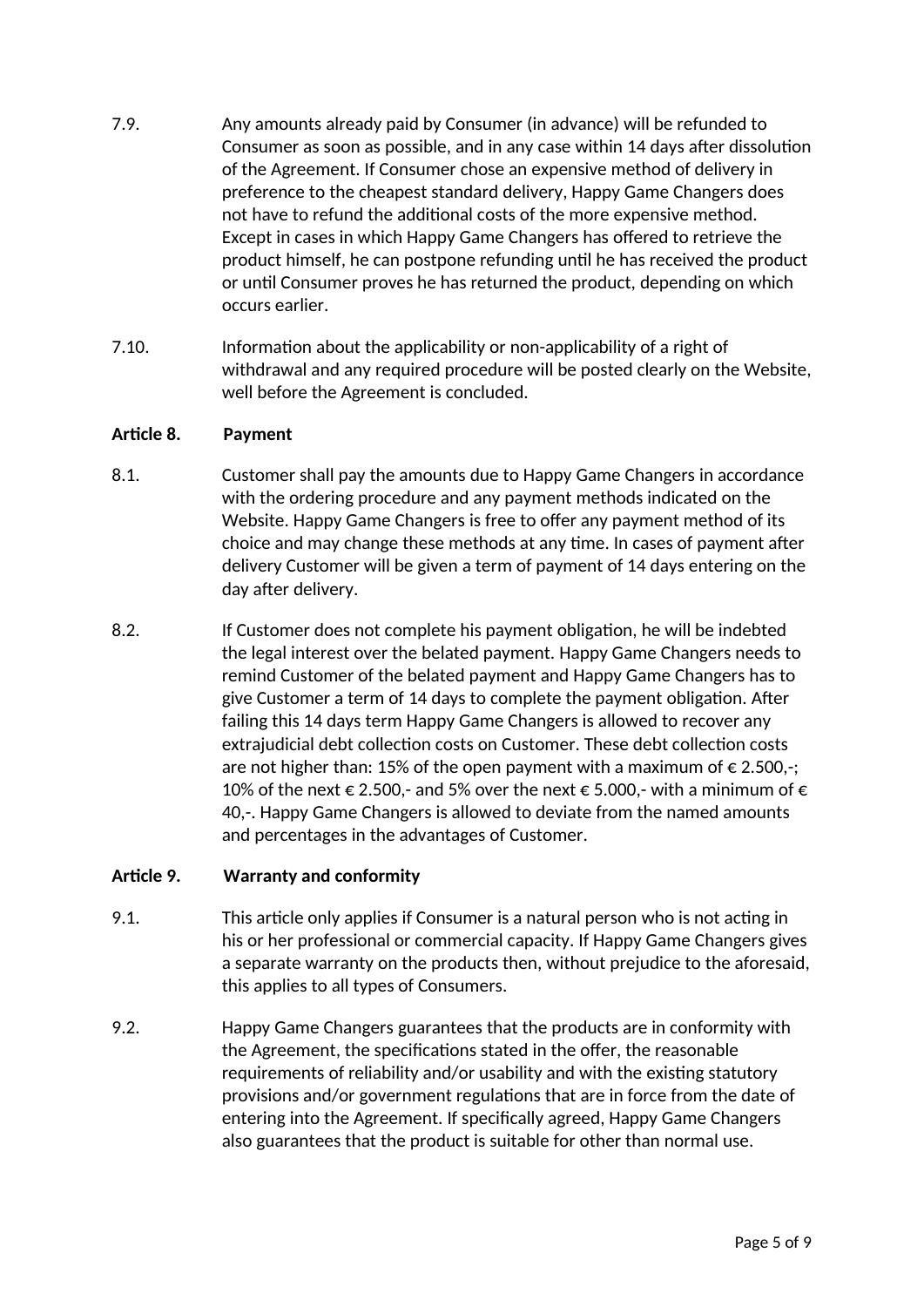- 7.9. Any amounts already paid by Consumer (in advance) will be refunded to Consumer as soon as possible, and in any case within 14 days after dissolution of the Agreement. If Consumer chose an expensive method of delivery in preference to the cheapest standard delivery, Happy Game Changers does not have to refund the additional costs of the more expensive method. Except in cases in which Happy Game Changers has offered to retrieve the product himself, he can postpone refunding until he has received the product or until Consumer proves he has returned the product, depending on which occurs earlier.
- 7.10. Information about the applicability or non-applicability of a right of withdrawal and any required procedure will be posted clearly on the Website, well before the Agreement is concluded.

#### **Article 8. Payment**

- 8.1. Customer shall pay the amounts due to Happy Game Changers in accordance with the ordering procedure and any payment methods indicated on the Website. Happy Game Changers is free to offer any payment method of its choice and may change these methods at any time. In cases of payment after delivery Customer will be given a term of payment of 14 days entering on the day after delivery.
- 8.2. If Customer does not complete his payment obligation, he will be indebted the legal interest over the belated payment. Happy Game Changers needs to remind Customer of the belated payment and Happy Game Changers has to give Customer a term of 14 days to complete the payment obligation. After failing this 14 days term Happy Game Changers is allowed to recover any extrajudicial debt collection costs on Customer. These debt collection costs are not higher than: 15% of the open payment with a maximum of  $\epsilon$  2.500,-; 10% of the next  $\epsilon$  2.500,- and 5% over the next  $\epsilon$  5.000,- with a minimum of  $\epsilon$ 40,-. Happy Game Changers is allowed to deviate from the named amounts and percentages in the advantages of Customer.

#### **Article 9. Warranty and conformity**

- 9.1. This article only applies if Consumer is a natural person who is not acting in his or her professional or commercial capacity. If Happy Game Changers gives a separate warranty on the products then, without prejudice to the aforesaid, this applies to all types of Consumers.
- 9.2. Happy Game Changers guarantees that the products are in conformity with the Agreement, the specifications stated in the offer, the reasonable requirements of reliability and/or usability and with the existing statutory provisions and/or government regulations that are in force from the date of entering into the Agreement. If specifically agreed, Happy Game Changers also guarantees that the product is suitable for other than normal use.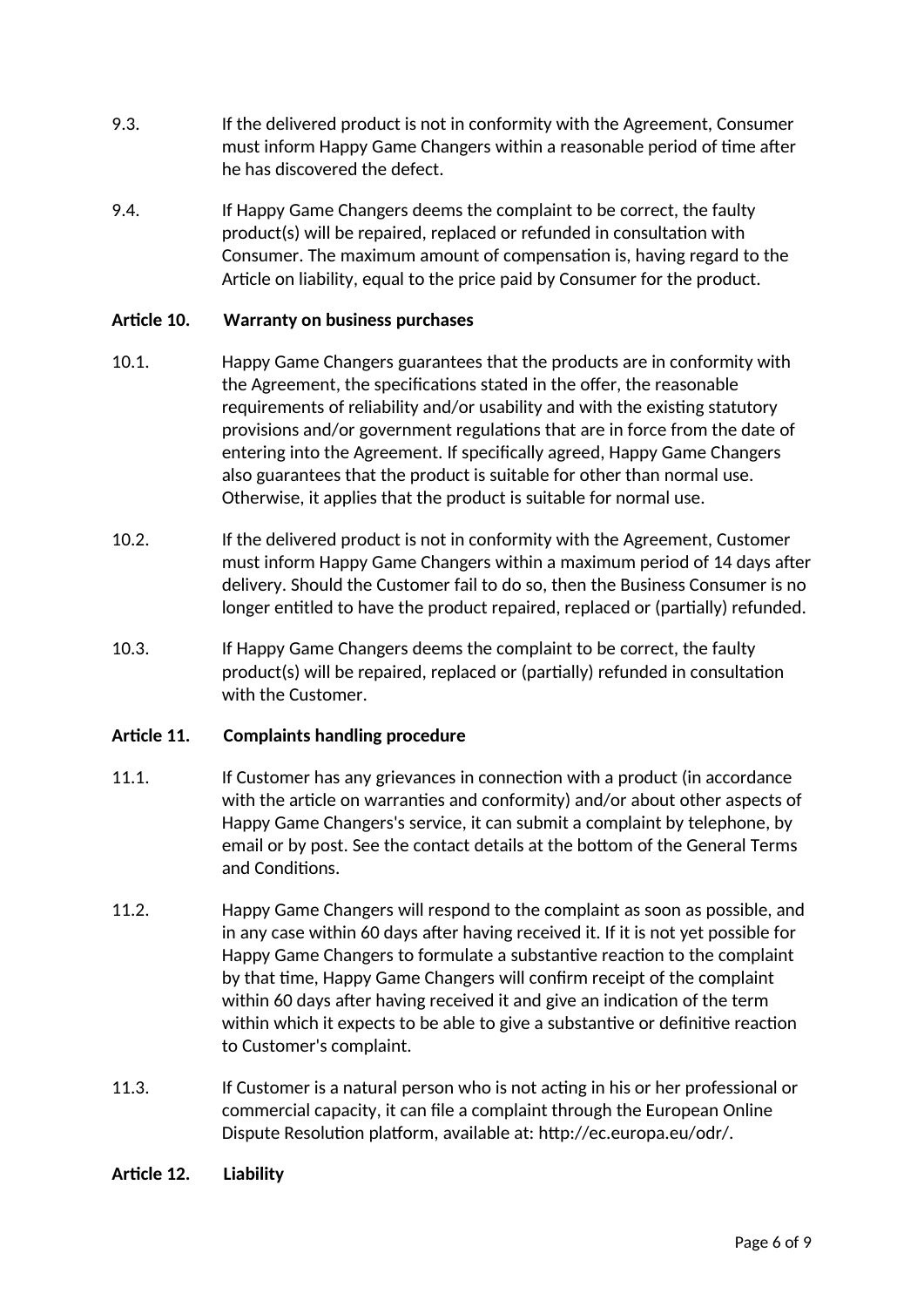- 9.3. If the delivered product is not in conformity with the Agreement, Consumer must inform Happy Game Changers within a reasonable period of time after he has discovered the defect.
- 9.4. If Happy Game Changers deems the complaint to be correct, the faulty product(s) will be repaired, replaced or refunded in consultation with Consumer. The maximum amount of compensation is, having regard to the Article on liability, equal to the price paid by Consumer for the product.

# **Article 10. Warranty on business purchases**

- 10.1. Happy Game Changers guarantees that the products are in conformity with the Agreement, the specifications stated in the offer, the reasonable requirements of reliability and/or usability and with the existing statutory provisions and/or government regulations that are in force from the date of entering into the Agreement. If specifically agreed, Happy Game Changers also guarantees that the product is suitable for other than normal use. Otherwise, it applies that the product is suitable for normal use.
- 10.2. If the delivered product is not in conformity with the Agreement, Customer must inform Happy Game Changers within a maximum period of 14 days after delivery. Should the Customer fail to do so, then the Business Consumer is no longer entitled to have the product repaired, replaced or (partially) refunded.
- 10.3. If Happy Game Changers deems the complaint to be correct, the faulty product(s) will be repaired, replaced or (partially) refunded in consultation with the Customer.

#### **Article 11. Complaints handling procedure**

- 11.1. If Customer has any grievances in connection with a product (in accordance with the article on warranties and conformity) and/or about other aspects of Happy Game Changers's service, it can submit a complaint by telephone, by email or by post. See the contact details at the bottom of the General Terms and Conditions.
- 11.2. Happy Game Changers will respond to the complaint as soon as possible, and in any case within 60 days after having received it. If it is not yet possible for Happy Game Changers to formulate a substantive reaction to the complaint by that time, Happy Game Changers will confirm receipt of the complaint within 60 days after having received it and give an indication of the term within which it expects to be able to give a substantive or definitive reaction to Customer's complaint.
- 11.3. If Customer is a natural person who is not acting in his or her professional or commercial capacity, it can file a complaint through the European Online Dispute Resolution platform, available at: http://ec.europa.eu/odr/.

#### **Article 12. Liability**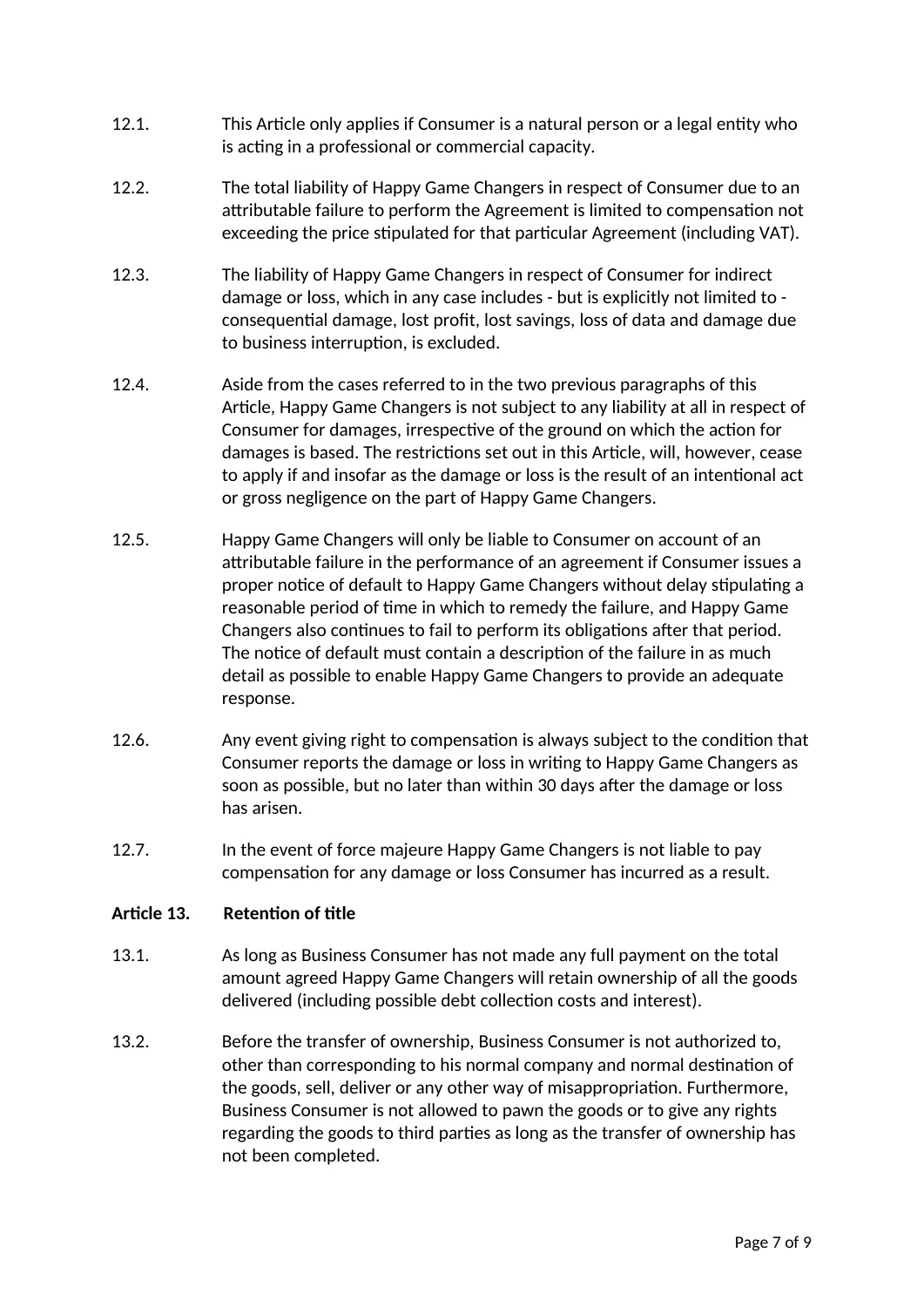- 12.1. This Article only applies if Consumer is a natural person or a legal entity who is acting in a professional or commercial capacity.
- 12.2. The total liability of Happy Game Changers in respect of Consumer due to an attributable failure to perform the Agreement is limited to compensation not exceeding the price stipulated for that particular Agreement (including VAT).
- 12.3. The liability of Happy Game Changers in respect of Consumer for indirect damage or loss, which in any case includes - but is explicitly not limited to consequential damage, lost profit, lost savings, loss of data and damage due to business interruption, is excluded.
- 12.4. Aside from the cases referred to in the two previous paragraphs of this Article, Happy Game Changers is not subject to any liability at all in respect of Consumer for damages, irrespective of the ground on which the action for damages is based. The restrictions set out in this Article, will, however, cease to apply if and insofar as the damage or loss is the result of an intentional act or gross negligence on the part of Happy Game Changers.
- 12.5. Happy Game Changers will only be liable to Consumer on account of an attributable failure in the performance of an agreement if Consumer issues a proper notice of default to Happy Game Changers without delay stipulating a reasonable period of time in which to remedy the failure, and Happy Game Changers also continues to fail to perform its obligations after that period. The notice of default must contain a description of the failure in as much detail as possible to enable Happy Game Changers to provide an adequate response.
- 12.6. Any event giving right to compensation is always subject to the condition that Consumer reports the damage or loss in writing to Happy Game Changers as soon as possible, but no later than within 30 days after the damage or loss has arisen.
- 12.7. In the event of force majeure Happy Game Changers is not liable to pay compensation for any damage or loss Consumer has incurred as a result.

#### **Article 13. Retention of title**

- 13.1. As long as Business Consumer has not made any full payment on the total amount agreed Happy Game Changers will retain ownership of all the goods delivered (including possible debt collection costs and interest).
- 13.2. Before the transfer of ownership, Business Consumer is not authorized to, other than corresponding to his normal company and normal destination of the goods, sell, deliver or any other way of misappropriation. Furthermore, Business Consumer is not allowed to pawn the goods or to give any rights regarding the goods to third parties as long as the transfer of ownership has not been completed.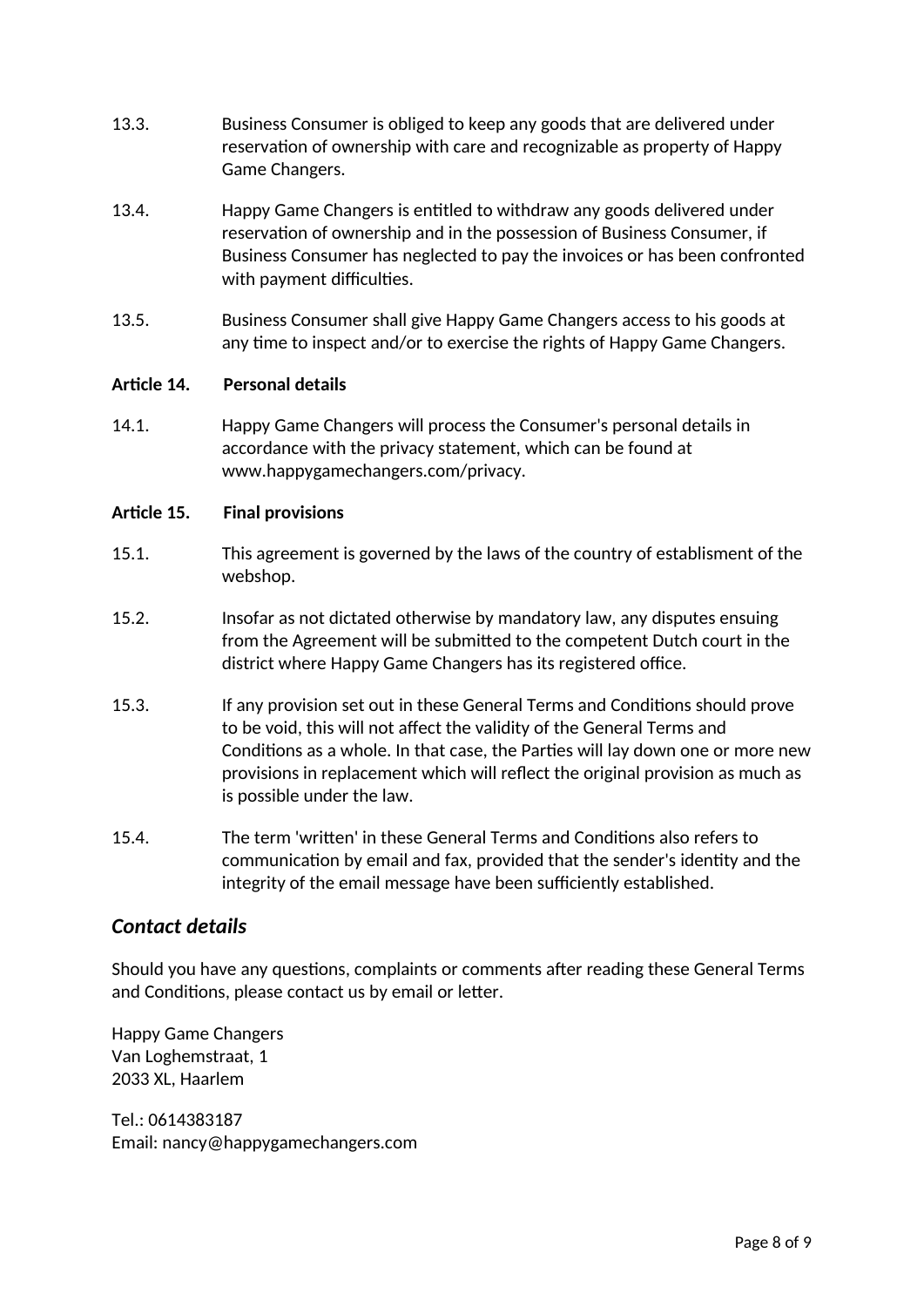- 13.3. Business Consumer is obliged to keep any goods that are delivered under reservation of ownership with care and recognizable as property of Happy Game Changers.
- 13.4. Happy Game Changers is entitled to withdraw any goods delivered under reservation of ownership and in the possession of Business Consumer, if Business Consumer has neglected to pay the invoices or has been confronted with payment difficulties.
- 13.5. Business Consumer shall give Happy Game Changers access to his goods at any time to inspect and/or to exercise the rights of Happy Game Changers.

#### **Article 14. Personal details**

14.1. Happy Game Changers will process the Consumer's personal details in accordance with the privacy statement, which can be found at www.happygamechangers.com/privacy.

#### **Article 15. Final provisions**

- 15.1. This agreement is governed by the laws of the country of establisment of the webshop.
- 15.2. Insofar as not dictated otherwise by mandatory law, any disputes ensuing from the Agreement will be submitted to the competent Dutch court in the district where Happy Game Changers has its registered office.
- 15.3. If any provision set out in these General Terms and Conditions should prove to be void, this will not affect the validity of the General Terms and Conditions as a whole. In that case, the Parties will lay down one or more new provisions in replacement which will reflect the original provision as much as is possible under the law.
- 15.4. The term 'written' in these General Terms and Conditions also refers to communication by email and fax, provided that the sender's identity and the integrity of the email message have been sufficiently established.

# *Contact details*

Should you have any questions, complaints or comments after reading these General Terms and Conditions, please contact us by email or letter.

Happy Game Changers Van Loghemstraat, 1 2033 XL, Haarlem

Tel.: 0614383187 Email: nancy@happygamechangers.com